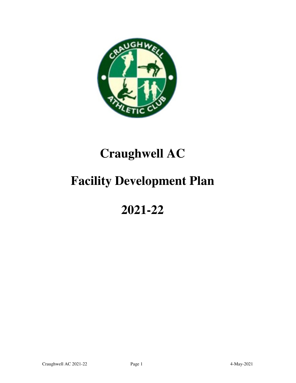

# **Craughwell AC**

# **Facility Development Plan**

## **2021-22**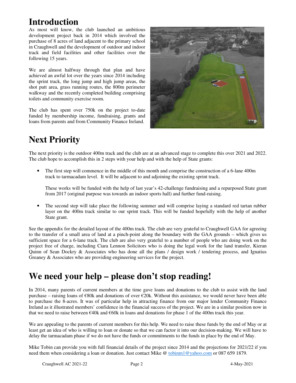### **Introduction**

As most will know, the club launched an ambitious development project back in 2014 which involved the purchase of 8 acres of land adjacent to the primary school in Craughwell and the development of outdoor and indoor track and field facilities and other facilities over the following 15 years.

We are almost halfway through that plan and have achieved an awful lot over the years since 2014 including the sprint track, the long jump and high jump areas, the shot putt area, grass running routes, the 800m perimeter walkway and the recently completed building comprising toilets and community exercise room.

The club has spent over 750k on the project to-date funded by membership income, fundraising, grants and loans from parents and from Community Finance Ireland.



## **Next Priority**

The next priority is the outdoor 400m track and the club are at an advanced stage to complete this over 2021 and 2022. The club hope to accomplish this in 2 steps with your help and with the help of State grants:

• The first step will commence in the middle of this month and comprise the construction of a 6-lane 400m track to tarmacadam level. It will be adjacent to and adjoining the existing sprint track.

These works will be funded with the help of last year's 42-challenge fundraising and a repurposed State grant from 2017 (original purpose was towards an indoor sports hall) and further fund-raising.

The second step will take place the following summer and will comprise laying a standard red tartan rubber layer on the 400m track similar to our sprint track. This will be funded hopefully with the help of another State grant.

See the appendix for the detailed layout of the 400m track. The club are very grateful to Craughwell GAA for agreeing to the transfer of a small area of land at a pinch-point along the boundary with the GAA grounds – which gives us sufficient space for a 6-lane track. The club are also very grateful to a number of people who are doing work on the project free of charge, including Ciara Lennon Solicitors who is doing the legal work for the land transfer, Kieran Quinn of Sean Dockry & Associates who has done all the plans / design work / tendering process, and Ignatius Greaney & Associates who are providing engineering services for the project.

#### **We need your help – please don't stop reading!**

In 2014, many parents of current members at the time gave loans and donations to the club to assist with the land purchase – raising loans of  $\epsilon 80k$  and donations of over  $\epsilon 20k$ . Without this assistance, we would never have been able to purchase the 8-acres. It was of particular help in attracting finance from our major lender Community Finance Ireland as it illustrated members' confidence in the financial success of the project. We are in a similar position now in that we need to raise between  $\epsilon$ 40k and  $\epsilon$ 60k in loans and donations for phase 1 of the 400m track this year.

We are appealing to the parents of current members for this help. We need to raise these funds by the end of May or at least get an idea of who is willing to loan or donate so that we can factor it into our decision-making. We will have to delay the tarmacadam phase if we do not have the funds or commitments to the funds in place by the end of May.

Mike Tobin can provide you with full financial details of the project since 2014 and the projections for 2021/22 if you need them when considering a loan or donation. Just contact Mike @ tobinm1@yahoo.com or 087 659 1879.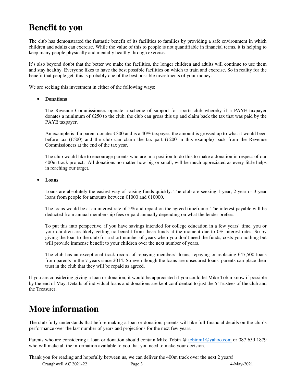#### **Benefit to you**

The club has demonstrated the fantastic benefit of its facilities to families by providing a safe environment in which children and adults can exercise. While the value of this to people is not quantifiable in financial terms, it is helping to keep many people physically and mentally healthy through exercise.

It's also beyond doubt that the better we make the facilities, the longer children and adults will continue to use them and stay healthy. Everyone likes to have the best possible facilities on which to train and exercise. So in reality for the benefit that people get, this is probably one of the best possible investments of your money.

We are seeking this investment in either of the following ways:

#### • **Donations**

The Revenue Commissioners operate a scheme of support for sports club whereby if a PAYE taxpayer donates a minimum of  $\epsilon$ 250 to the club, the club can gross this up and claim back the tax that was paid by the PAYE taxpayer.

An example is if a parent donates  $\epsilon$ 300 and is a 40% taxpayer, the amount is grossed up to what it would been before tax ( $\epsilon$ 500) and the club can claim the tax part ( $\epsilon$ 200 in this example) back from the Revenue Commissioners at the end of the tax year.

The club would like to encourage parents who are in a position to do this to make a donation in respect of our 400m track project. All donations no matter how big or small, will be much appreciated as every little helps in reaching our target.

#### • **Loans**

Loans are absolutely the easiest way of raising funds quickly. The club are seeking 1-year, 2-year or 3-year loans from people for amounts between €1000 and €10000.

The loans would be at an interest rate of 5% and repaid on the agreed timeframe. The interest payable will be deducted from annual membership fees or paid annually depending on what the lender prefers.

To put this into perspective, if you have savings intended for college education in a few years' time, you or your children are likely getting no benefit from these funds at the moment due to 0% interest rates. So by giving the loan to the club for a short number of years when you don't need the funds, costs you nothing but will provide immense benefit to your children over the next number of years.

The club has an exceptional track record of repaying members' loans, repaying or replacing €47,500 loans from parents in the 7 years since 2014. So even though the loans are unsecured loans, parents can place their trust in the club that they will be repaid as agreed.

If you are considering giving a loan or donation, it would be appreciated if you could let Mike Tobin know if possible by the end of May. Details of individual loans and donations are kept confidential to just the 5 Trustees of the club and the Treasurer.

#### **More information**

The club fully understands that before making a loan or donation, parents will like full financial details on the club's performance over the last number of years and projections for the next few years.

Parents who are considering a loan or donation should contain Mike Tobin @ tobinm1@yahoo.com or 087 659 1879 who will make all the information available to you that you need to make your decision.

Thank you for reading and hopefully between us, we can deliver the 400m track over the next 2 years!